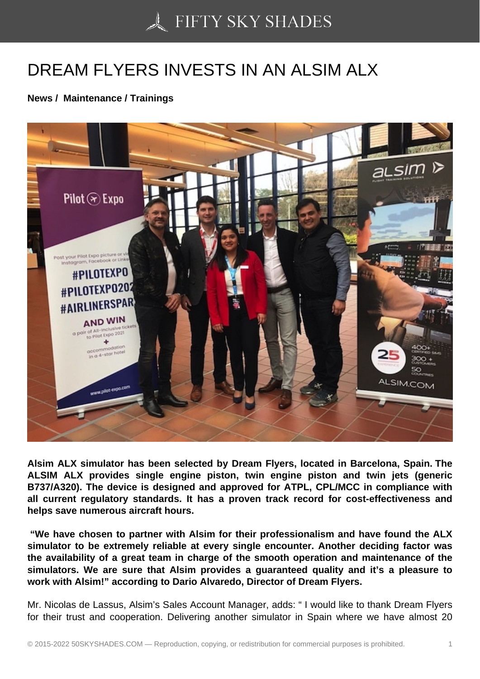## [DREAM FLYERS INVE](https://50skyshades.com)STS IN AN ALSIM ALX

News / Maintenance / Trainings

Alsim ALX simulator has been selected by Dream Flyers, located in Barcelona, Spain. The ALSIM ALX provides single engine piston, twin engine piston and twin jets (generic B737/A320). The device is designed and approved for ATPL, CPL/MCC in compliance with all current regulatory standards. It has a proven track record for cost-effectiveness and helps save numerous aircraft hours.

 "We have chosen to partner with Alsim for their professionalism and have found the ALX simulator to be extremely reliable at every single encounter. Another deciding factor was the availability of a great team in charge of the smooth operation and maintenance of the simulators. We are sure that Alsim provides a guaranteed quality and it's a pleasure to work with Alsim!" according to Dario Alvaredo, Director of Dream Flyers.

Mr. Nicolas de Lassus, Alsim's Sales Account Manager, adds: " I would like to thank Dream Flyers for their trust and cooperation. Delivering another simulator in Spain where we have almost 20